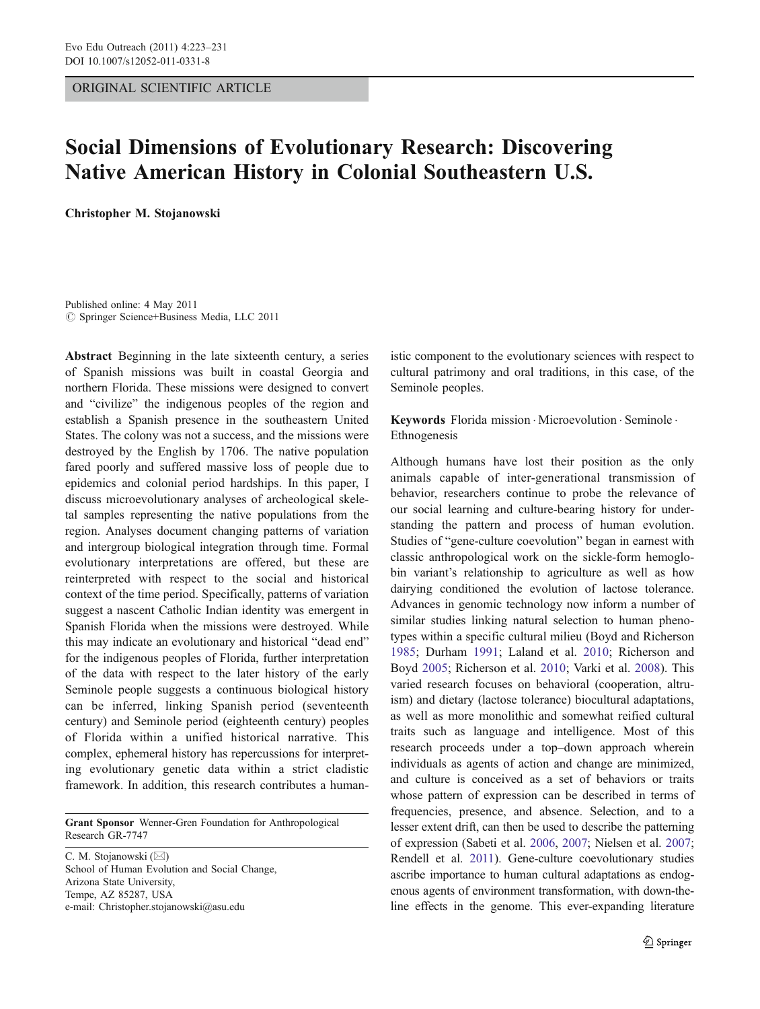ORIGINAL SCIENTIFIC ARTICLE

# Social Dimensions of Evolutionary Research: Discovering Native American History in Colonial Southeastern U.S.

Christopher M. Stojanowski

Published online: 4 May 2011  $\circ$  Springer Science+Business Media, LLC 2011

Abstract Beginning in the late sixteenth century, a series of Spanish missions was built in coastal Georgia and northern Florida. These missions were designed to convert and "civilize" the indigenous peoples of the region and establish a Spanish presence in the southeastern United States. The colony was not a success, and the missions were destroyed by the English by 1706. The native population fared poorly and suffered massive loss of people due to epidemics and colonial period hardships. In this paper, I discuss microevolutionary analyses of archeological skeletal samples representing the native populations from the region. Analyses document changing patterns of variation and intergroup biological integration through time. Formal evolutionary interpretations are offered, but these are reinterpreted with respect to the social and historical context of the time period. Specifically, patterns of variation suggest a nascent Catholic Indian identity was emergent in Spanish Florida when the missions were destroyed. While this may indicate an evolutionary and historical "dead end" for the indigenous peoples of Florida, further interpretation of the data with respect to the later history of the early Seminole people suggests a continuous biological history can be inferred, linking Spanish period (seventeenth century) and Seminole period (eighteenth century) peoples of Florida within a unified historical narrative. This complex, ephemeral history has repercussions for interpreting evolutionary genetic data within a strict cladistic framework. In addition, this research contributes a human-

Grant Sponsor Wenner-Gren Foundation for Anthropological Research GR-7747

C. M. Stojanowski  $(\boxtimes)$ School of Human Evolution and Social Change, Arizona State University, Tempe, AZ 85287, USA e-mail: Christopher.stojanowski@asu.edu

istic component to the evolutionary sciences with respect to cultural patrimony and oral traditions, in this case, of the Seminole peoples.

Keywords Florida mission . Microevolution . Seminole . Ethnogenesis

Although humans have lost their position as the only animals capable of inter-generational transmission of behavior, researchers continue to probe the relevance of our social learning and culture-bearing history for understanding the pattern and process of human evolution. Studies of "gene-culture coevolution" began in earnest with classic anthropological work on the sickle-form hemoglobin variant's relationship to agriculture as well as how dairying conditioned the evolution of lactose tolerance. Advances in genomic technology now inform a number of similar studies linking natural selection to human phenotypes within a specific cultural milieu (Boyd and Richerson [1985](#page-6-0); Durham [1991](#page-7-0); Laland et al. [2010](#page-7-0); Richerson and Boyd [2005](#page-8-0); Richerson et al. [2010;](#page-8-0) Varki et al. [2008\)](#page-8-0). This varied research focuses on behavioral (cooperation, altruism) and dietary (lactose tolerance) biocultural adaptations, as well as more monolithic and somewhat reified cultural traits such as language and intelligence. Most of this research proceeds under a top–down approach wherein individuals as agents of action and change are minimized, and culture is conceived as a set of behaviors or traits whose pattern of expression can be described in terms of frequencies, presence, and absence. Selection, and to a lesser extent drift, can then be used to describe the patterning of expression (Sabeti et al. [2006](#page-8-0), [2007](#page-8-0); Nielsen et al. [2007;](#page-8-0) Rendell et al. [2011\)](#page-8-0). Gene-culture coevolutionary studies ascribe importance to human cultural adaptations as endogenous agents of environment transformation, with down-theline effects in the genome. This ever-expanding literature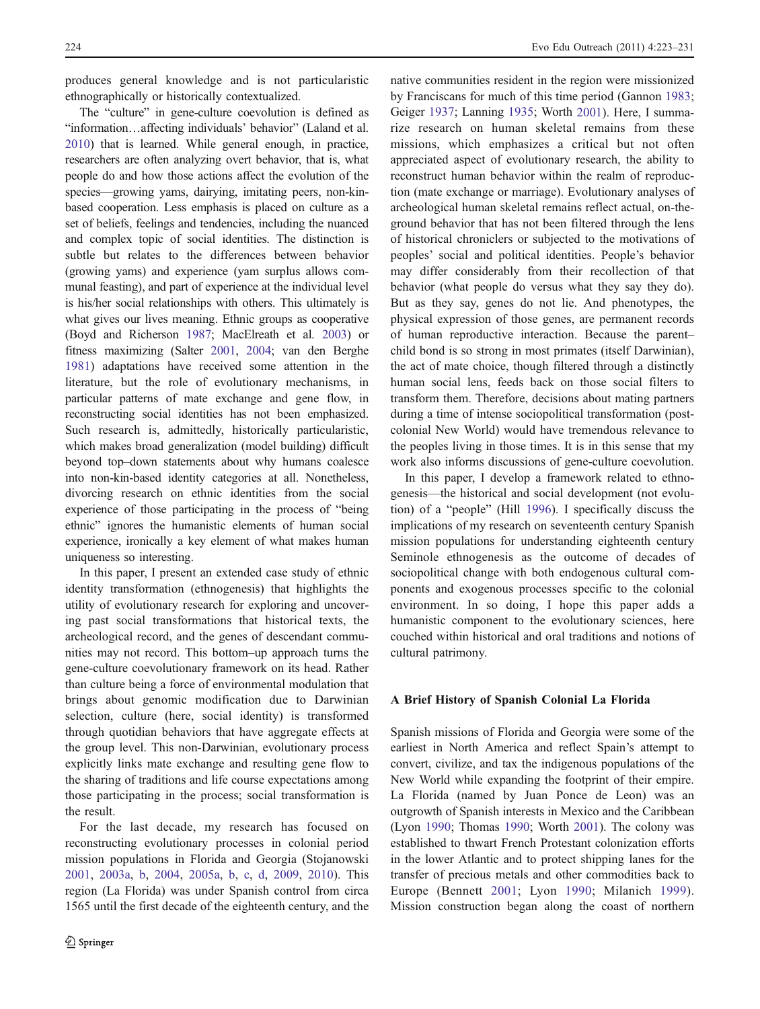produces general knowledge and is not particularistic ethnographically or historically contextualized.

The "culture" in gene-culture coevolution is defined as "information…affecting individuals' behavior" (Laland et al. [2010\)](#page-7-0) that is learned. While general enough, in practice, researchers are often analyzing overt behavior, that is, what people do and how those actions affect the evolution of the species—growing yams, dairying, imitating peers, non-kinbased cooperation. Less emphasis is placed on culture as a set of beliefs, feelings and tendencies, including the nuanced and complex topic of social identities. The distinction is subtle but relates to the differences between behavior (growing yams) and experience (yam surplus allows communal feasting), and part of experience at the individual level is his/her social relationships with others. This ultimately is what gives our lives meaning. Ethnic groups as cooperative (Boyd and Richerson [1987;](#page-6-0) MacElreath et al. [2003](#page-7-0)) or fitness maximizing (Salter [2001,](#page-8-0) [2004;](#page-8-0) van den Berghe [1981\)](#page-8-0) adaptations have received some attention in the literature, but the role of evolutionary mechanisms, in particular patterns of mate exchange and gene flow, in reconstructing social identities has not been emphasized. Such research is, admittedly, historically particularistic, which makes broad generalization (model building) difficult beyond top–down statements about why humans coalesce into non-kin-based identity categories at all. Nonetheless, divorcing research on ethnic identities from the social experience of those participating in the process of "being ethnic" ignores the humanistic elements of human social experience, ironically a key element of what makes human uniqueness so interesting.

In this paper, I present an extended case study of ethnic identity transformation (ethnogenesis) that highlights the utility of evolutionary research for exploring and uncovering past social transformations that historical texts, the archeological record, and the genes of descendant communities may not record. This bottom–up approach turns the gene-culture coevolutionary framework on its head. Rather than culture being a force of environmental modulation that brings about genomic modification due to Darwinian selection, culture (here, social identity) is transformed through quotidian behaviors that have aggregate effects at the group level. This non-Darwinian, evolutionary process explicitly links mate exchange and resulting gene flow to the sharing of traditions and life course expectations among those participating in the process; social transformation is the result.

For the last decade, my research has focused on reconstructing evolutionary processes in colonial period mission populations in Florida and Georgia (Stojanowski [2001,](#page-8-0) [2003a](#page-8-0), [b](#page-8-0), [2004](#page-8-0), [2005a](#page-8-0), [b](#page-8-0), [c,](#page-8-0) [d,](#page-8-0) [2009](#page-8-0), [2010](#page-8-0)). This region (La Florida) was under Spanish control from circa 1565 until the first decade of the eighteenth century, and the

native communities resident in the region were missionized by Franciscans for much of this time period (Gannon [1983;](#page-7-0) Geiger [1937](#page-7-0); Lanning [1935](#page-7-0); Worth [2001](#page-8-0)). Here, I summarize research on human skeletal remains from these missions, which emphasizes a critical but not often appreciated aspect of evolutionary research, the ability to reconstruct human behavior within the realm of reproduction (mate exchange or marriage). Evolutionary analyses of archeological human skeletal remains reflect actual, on-theground behavior that has not been filtered through the lens of historical chroniclers or subjected to the motivations of peoples' social and political identities. People's behavior may differ considerably from their recollection of that behavior (what people do versus what they say they do). But as they say, genes do not lie. And phenotypes, the physical expression of those genes, are permanent records of human reproductive interaction. Because the parent– child bond is so strong in most primates (itself Darwinian), the act of mate choice, though filtered through a distinctly human social lens, feeds back on those social filters to transform them. Therefore, decisions about mating partners during a time of intense sociopolitical transformation (postcolonial New World) would have tremendous relevance to the peoples living in those times. It is in this sense that my work also informs discussions of gene-culture coevolution.

In this paper, I develop a framework related to ethnogenesis—the historical and social development (not evolution) of a "people" (Hill [1996](#page-7-0)). I specifically discuss the implications of my research on seventeenth century Spanish mission populations for understanding eighteenth century Seminole ethnogenesis as the outcome of decades of sociopolitical change with both endogenous cultural components and exogenous processes specific to the colonial environment. In so doing, I hope this paper adds a humanistic component to the evolutionary sciences, here couched within historical and oral traditions and notions of cultural patrimony.

#### A Brief History of Spanish Colonial La Florida

Spanish missions of Florida and Georgia were some of the earliest in North America and reflect Spain's attempt to convert, civilize, and tax the indigenous populations of the New World while expanding the footprint of their empire. La Florida (named by Juan Ponce de Leon) was an outgrowth of Spanish interests in Mexico and the Caribbean (Lyon [1990](#page-7-0); Thomas [1990](#page-8-0); Worth [2001\)](#page-8-0). The colony was established to thwart French Protestant colonization efforts in the lower Atlantic and to protect shipping lanes for the transfer of precious metals and other commodities back to Europe (Bennett [2001;](#page-6-0) Lyon [1990](#page-7-0); Milanich [1999](#page-8-0)). Mission construction began along the coast of northern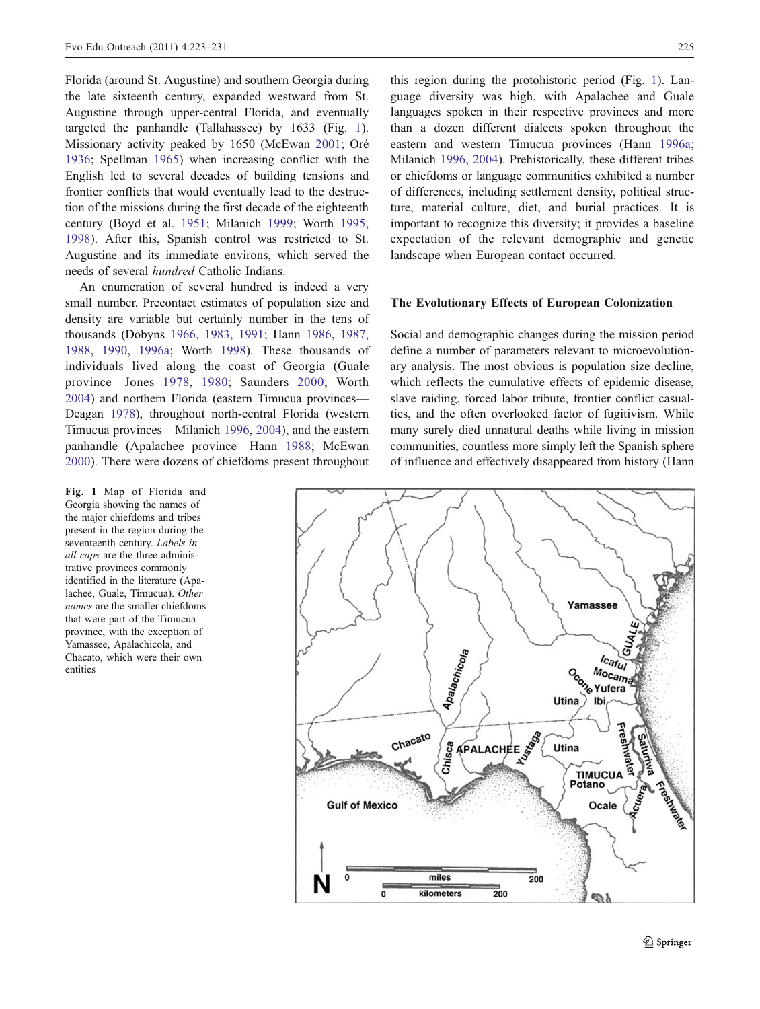Florida (around St. Augustine) and southern Georgia during the late sixteenth century, expanded westward from St. Augustine through upper-central Florida, and eventually targeted the panhandle (Tallahassee) by 1633 (Fig. 1). Missionary activity peaked by 1650 (McEwan [2001](#page-7-0); Oré [1936;](#page-8-0) Spellman [1965](#page-8-0)) when increasing conflict with the English led to several decades of building tensions and frontier conflicts that would eventually lead to the destruction of the missions during the first decade of the eighteenth century (Boyd et al. [1951;](#page-6-0) Milanich [1999;](#page-8-0) Worth [1995,](#page-8-0) [1998\)](#page-8-0). After this, Spanish control was restricted to St. Augustine and its immediate environs, which served the needs of several hundred Catholic Indians.

An enumeration of several hundred is indeed a very small number. Precontact estimates of population size and density are variable but certainly number in the tens of thousands (Dobyns [1966,](#page-7-0) [1983](#page-7-0), [1991](#page-7-0); Hann [1986,](#page-7-0) [1987,](#page-7-0) [1988](#page-7-0), [1990,](#page-7-0) [1996a](#page-7-0); Worth [1998\)](#page-8-0). These thousands of individuals lived along the coast of Georgia (Guale province—Jones [1978,](#page-7-0) [1980;](#page-7-0) Saunders [2000](#page-8-0); Worth [2004\)](#page-8-0) and northern Florida (eastern Timucua provinces— Deagan [1978](#page-7-0)), throughout north-central Florida (western Timucua provinces—Milanich [1996,](#page-8-0) [2004\)](#page-8-0), and the eastern panhandle (Apalachee province—Hann [1988;](#page-7-0) McEwan [2000\)](#page-7-0). There were dozens of chiefdoms present throughout

Fig. 1 Map of Florida and Georgia showing the names of the major chiefdoms and tribes present in the region during the seventeenth century. Labels in all caps are the three administrative provinces commonly identified in the literature (Apalachee, Guale, Timucua). Other names are the smaller chiefdoms that were part of the Timucua province, with the exception of Yamassee, Apalachicola, and Chacato, which were their own entities

this region during the protohistoric period (Fig. 1). Language diversity was high, with Apalachee and Guale languages spoken in their respective provinces and more than a dozen different dialects spoken throughout the eastern and western Timucua provinces (Hann [1996a;](#page-7-0) Milanich [1996,](#page-8-0) [2004\)](#page-8-0). Prehistorically, these different tribes or chiefdoms or language communities exhibited a number of differences, including settlement density, political structure, material culture, diet, and burial practices. It is important to recognize this diversity; it provides a baseline expectation of the relevant demographic and genetic landscape when European contact occurred.

#### The Evolutionary Effects of European Colonization

Social and demographic changes during the mission period define a number of parameters relevant to microevolutionary analysis. The most obvious is population size decline, which reflects the cumulative effects of epidemic disease, slave raiding, forced labor tribute, frontier conflict casualties, and the often overlooked factor of fugitivism. While many surely died unnatural deaths while living in mission communities, countless more simply left the Spanish sphere of influence and effectively disappeared from history (Hann

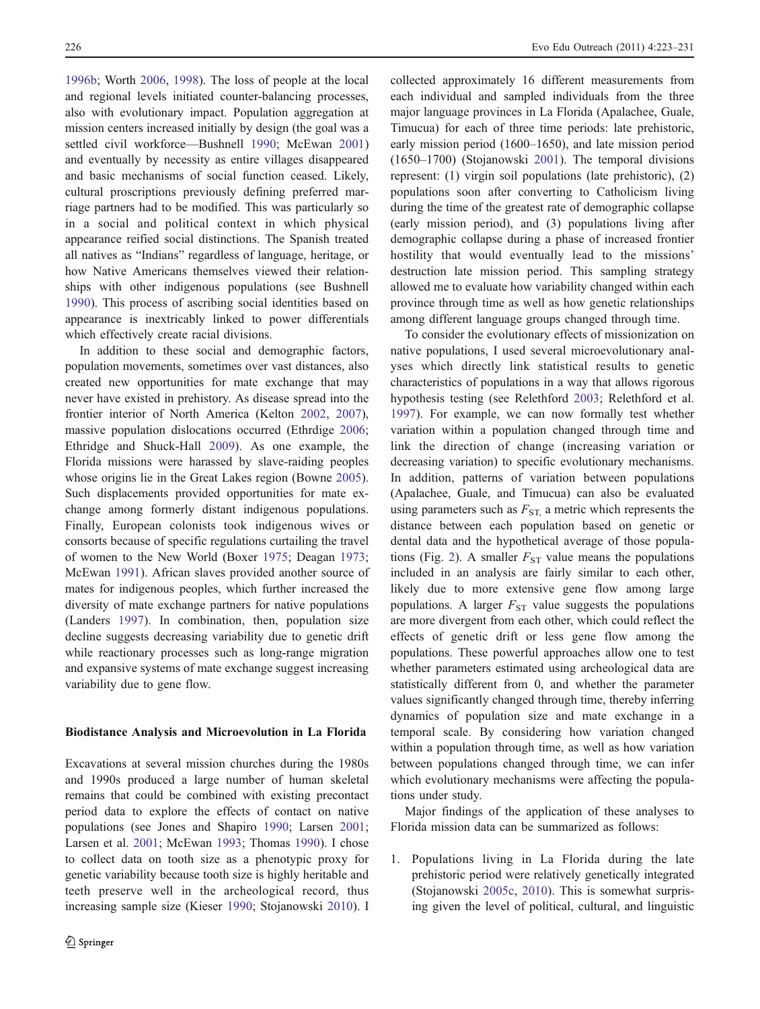[1996b;](#page-7-0) Worth [2006,](#page-8-0) [1998\)](#page-8-0). The loss of people at the local and regional levels initiated counter-balancing processes, also with evolutionary impact. Population aggregation at mission centers increased initially by design (the goal was a settled civil workforce—Bushnell [1990](#page-6-0); McEwan [2001\)](#page-7-0) and eventually by necessity as entire villages disappeared and basic mechanisms of social function ceased. Likely, cultural proscriptions previously defining preferred marriage partners had to be modified. This was particularly so in a social and political context in which physical appearance reified social distinctions. The Spanish treated all natives as "Indians" regardless of language, heritage, or how Native Americans themselves viewed their relationships with other indigenous populations (see Bushnell [1990\)](#page-6-0). This process of ascribing social identities based on appearance is inextricably linked to power differentials which effectively create racial divisions.

In addition to these social and demographic factors, population movements, sometimes over vast distances, also created new opportunities for mate exchange that may never have existed in prehistory. As disease spread into the frontier interior of North America (Kelton [2002,](#page-7-0) [2007](#page-7-0)), massive population dislocations occurred (Ethrdige [2006](#page-7-0); Ethridge and Shuck-Hall [2009](#page-7-0)). As one example, the Florida missions were harassed by slave-raiding peoples whose origins lie in the Great Lakes region (Bowne [2005](#page-6-0)). Such displacements provided opportunities for mate exchange among formerly distant indigenous populations. Finally, European colonists took indigenous wives or consorts because of specific regulations curtailing the travel of women to the New World (Boxer [1975;](#page-6-0) Deagan [1973](#page-7-0); McEwan [1991](#page-7-0)). African slaves provided another source of mates for indigenous peoples, which further increased the diversity of mate exchange partners for native populations (Landers [1997\)](#page-7-0). In combination, then, population size decline suggests decreasing variability due to genetic drift while reactionary processes such as long-range migration and expansive systems of mate exchange suggest increasing variability due to gene flow.

#### Biodistance Analysis and Microevolution in La Florida

Excavations at several mission churches during the 1980s and 1990s produced a large number of human skeletal remains that could be combined with existing precontact period data to explore the effects of contact on native populations (see Jones and Shapiro [1990](#page-7-0); Larsen [2001](#page-7-0); Larsen et al. [2001](#page-7-0); McEwan [1993;](#page-7-0) Thomas [1990\)](#page-8-0). I chose to collect data on tooth size as a phenotypic proxy for genetic variability because tooth size is highly heritable and teeth preserve well in the archeological record, thus increasing sample size (Kieser [1990;](#page-7-0) Stojanowski [2010\)](#page-8-0). I collected approximately 16 different measurements from each individual and sampled individuals from the three major language provinces in La Florida (Apalachee, Guale, Timucua) for each of three time periods: late prehistoric, early mission period (1600–1650), and late mission period (1650–1700) (Stojanowski [2001\)](#page-8-0). The temporal divisions represent: (1) virgin soil populations (late prehistoric), (2) populations soon after converting to Catholicism living during the time of the greatest rate of demographic collapse (early mission period), and (3) populations living after demographic collapse during a phase of increased frontier hostility that would eventually lead to the missions' destruction late mission period. This sampling strategy allowed me to evaluate how variability changed within each province through time as well as how genetic relationships among different language groups changed through time.

To consider the evolutionary effects of missionization on native populations, I used several microevolutionary analyses which directly link statistical results to genetic characteristics of populations in a way that allows rigorous hypothesis testing (see Relethford [2003;](#page-8-0) Relethford et al. [1997](#page-8-0)). For example, we can now formally test whether variation within a population changed through time and link the direction of change (increasing variation or decreasing variation) to specific evolutionary mechanisms. In addition, patterns of variation between populations (Apalachee, Guale, and Timucua) can also be evaluated using parameters such as  $F_{ST}$  a metric which represents the distance between each population based on genetic or dental data and the hypothetical average of those popula-tions (Fig. [2\)](#page-4-0). A smaller  $F_{ST}$  value means the populations included in an analysis are fairly similar to each other, likely due to more extensive gene flow among large populations. A larger  $F_{ST}$  value suggests the populations are more divergent from each other, which could reflect the effects of genetic drift or less gene flow among the populations. These powerful approaches allow one to test whether parameters estimated using archeological data are statistically different from 0, and whether the parameter values significantly changed through time, thereby inferring dynamics of population size and mate exchange in a temporal scale. By considering how variation changed within a population through time, as well as how variation between populations changed through time, we can infer which evolutionary mechanisms were affecting the populations under study.

Major findings of the application of these analyses to Florida mission data can be summarized as follows:

1. Populations living in La Florida during the late prehistoric period were relatively genetically integrated (Stojanowski [2005c](#page-8-0), [2010](#page-8-0)). This is somewhat surprising given the level of political, cultural, and linguistic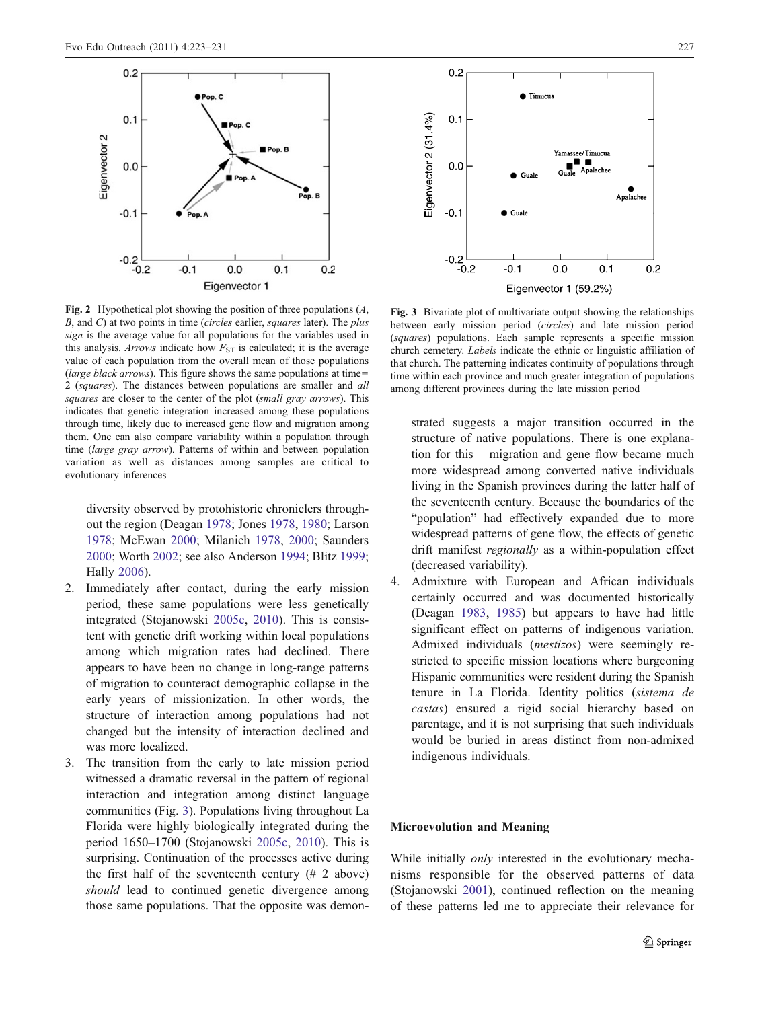<span id="page-4-0"></span>

Fig. 2 Hypothetical plot showing the position of three populations  $(A, \mathcal{L})$  $B$ , and  $C$ ) at two points in time (*circles* earlier, *squares* later). The *plus* sign is the average value for all populations for the variables used in this analysis. Arrows indicate how  $F_{ST}$  is calculated; it is the average value of each population from the overall mean of those populations (large black arrows). This figure shows the same populations at time= 2 (squares). The distances between populations are smaller and all squares are closer to the center of the plot (small gray arrows). This indicates that genetic integration increased among these populations through time, likely due to increased gene flow and migration among them. One can also compare variability within a population through time (large gray arrow). Patterns of within and between population variation as well as distances among samples are critical to evolutionary inferences

diversity observed by protohistoric chroniclers throughout the region (Deagan [1978](#page-7-0); Jones [1978](#page-7-0), [1980](#page-7-0); Larson [1978;](#page-7-0) McEwan [2000;](#page-7-0) Milanich [1978,](#page-7-0) [2000](#page-8-0); Saunders [2000;](#page-8-0) Worth [2002;](#page-8-0) see also Anderson [1994;](#page-6-0) Blitz [1999](#page-6-0); Hally [2006\)](#page-7-0).

- 2. Immediately after contact, during the early mission period, these same populations were less genetically integrated (Stojanowski [2005c,](#page-8-0) [2010](#page-8-0)). This is consistent with genetic drift working within local populations among which migration rates had declined. There appears to have been no change in long-range patterns of migration to counteract demographic collapse in the early years of missionization. In other words, the structure of interaction among populations had not changed but the intensity of interaction declined and was more localized.
- 3. The transition from the early to late mission period witnessed a dramatic reversal in the pattern of regional interaction and integration among distinct language communities (Fig. 3). Populations living throughout La Florida were highly biologically integrated during the period 1650–1700 (Stojanowski [2005c](#page-8-0), [2010\)](#page-8-0). This is surprising. Continuation of the processes active during the first half of the seventeenth century (# 2 above) should lead to continued genetic divergence among those same populations. That the opposite was demon-



Fig. 3 Bivariate plot of multivariate output showing the relationships between early mission period (circles) and late mission period (squares) populations. Each sample represents a specific mission church cemetery. Labels indicate the ethnic or linguistic affiliation of that church. The patterning indicates continuity of populations through time within each province and much greater integration of populations among different provinces during the late mission period

strated suggests a major transition occurred in the structure of native populations. There is one explanation for this – migration and gene flow became much more widespread among converted native individuals living in the Spanish provinces during the latter half of the seventeenth century. Because the boundaries of the "population" had effectively expanded due to more widespread patterns of gene flow, the effects of genetic drift manifest regionally as a within-population effect (decreased variability).

4. Admixture with European and African individuals certainly occurred and was documented historically (Deagan [1983](#page-7-0), [1985\)](#page-7-0) but appears to have had little significant effect on patterns of indigenous variation. Admixed individuals (mestizos) were seemingly restricted to specific mission locations where burgeoning Hispanic communities were resident during the Spanish tenure in La Florida. Identity politics (sistema de castas) ensured a rigid social hierarchy based on parentage, and it is not surprising that such individuals would be buried in areas distinct from non-admixed indigenous individuals.

## Microevolution and Meaning

While initially *only* interested in the evolutionary mechanisms responsible for the observed patterns of data (Stojanowski [2001\)](#page-8-0), continued reflection on the meaning of these patterns led me to appreciate their relevance for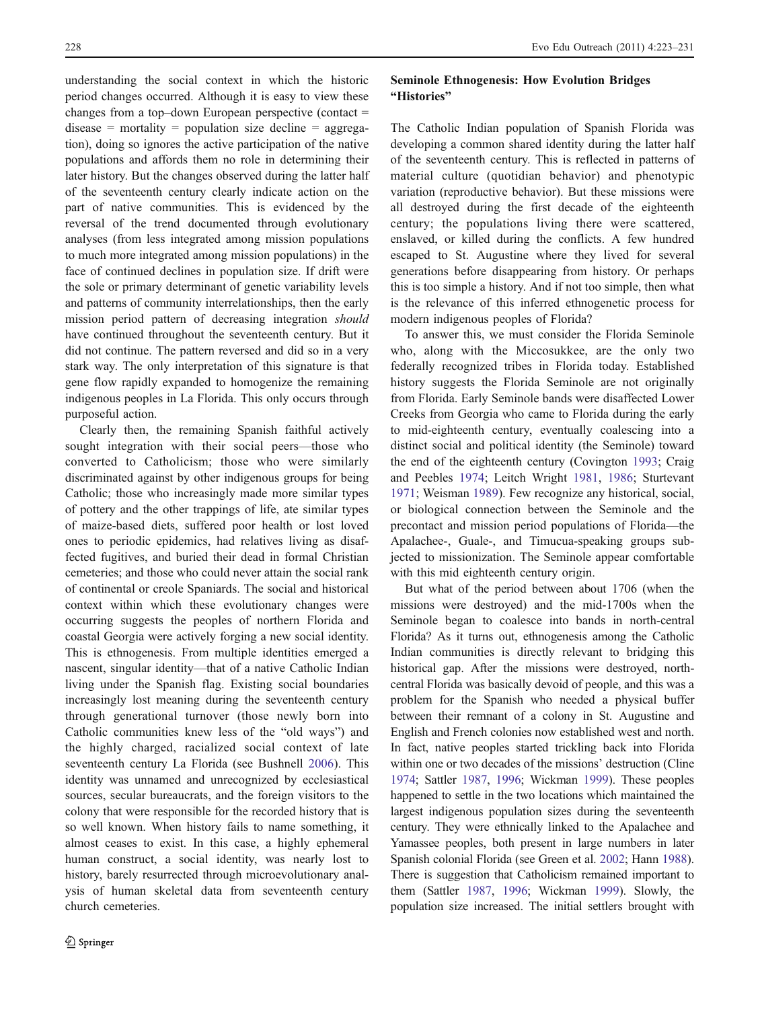understanding the social context in which the historic period changes occurred. Although it is easy to view these changes from a top–down European perspective (contact =  $disease = mortality = population size decline = aggregate$ tion), doing so ignores the active participation of the native populations and affords them no role in determining their later history. But the changes observed during the latter half of the seventeenth century clearly indicate action on the part of native communities. This is evidenced by the reversal of the trend documented through evolutionary analyses (from less integrated among mission populations to much more integrated among mission populations) in the face of continued declines in population size. If drift were the sole or primary determinant of genetic variability levels and patterns of community interrelationships, then the early mission period pattern of decreasing integration should have continued throughout the seventeenth century. But it did not continue. The pattern reversed and did so in a very stark way. The only interpretation of this signature is that gene flow rapidly expanded to homogenize the remaining indigenous peoples in La Florida. This only occurs through purposeful action.

Clearly then, the remaining Spanish faithful actively sought integration with their social peers—those who converted to Catholicism; those who were similarly discriminated against by other indigenous groups for being Catholic; those who increasingly made more similar types of pottery and the other trappings of life, ate similar types of maize-based diets, suffered poor health or lost loved ones to periodic epidemics, had relatives living as disaffected fugitives, and buried their dead in formal Christian cemeteries; and those who could never attain the social rank of continental or creole Spaniards. The social and historical context within which these evolutionary changes were occurring suggests the peoples of northern Florida and coastal Georgia were actively forging a new social identity. This is ethnogenesis. From multiple identities emerged a nascent, singular identity—that of a native Catholic Indian living under the Spanish flag. Existing social boundaries increasingly lost meaning during the seventeenth century through generational turnover (those newly born into Catholic communities knew less of the "old ways") and the highly charged, racialized social context of late seventeenth century La Florida (see Bushnell [2006\)](#page-6-0). This identity was unnamed and unrecognized by ecclesiastical sources, secular bureaucrats, and the foreign visitors to the colony that were responsible for the recorded history that is so well known. When history fails to name something, it almost ceases to exist. In this case, a highly ephemeral human construct, a social identity, was nearly lost to history, barely resurrected through microevolutionary analysis of human skeletal data from seventeenth century church cemeteries.

## Seminole Ethnogenesis: How Evolution Bridges "Histories"

The Catholic Indian population of Spanish Florida was developing a common shared identity during the latter half of the seventeenth century. This is reflected in patterns of material culture (quotidian behavior) and phenotypic variation (reproductive behavior). But these missions were all destroyed during the first decade of the eighteenth century; the populations living there were scattered, enslaved, or killed during the conflicts. A few hundred escaped to St. Augustine where they lived for several generations before disappearing from history. Or perhaps this is too simple a history. And if not too simple, then what is the relevance of this inferred ethnogenetic process for modern indigenous peoples of Florida?

To answer this, we must consider the Florida Seminole who, along with the Miccosukkee, are the only two federally recognized tribes in Florida today. Established history suggests the Florida Seminole are not originally from Florida. Early Seminole bands were disaffected Lower Creeks from Georgia who came to Florida during the early to mid-eighteenth century, eventually coalescing into a distinct social and political identity (the Seminole) toward the end of the eighteenth century (Covington [1993;](#page-6-0) Craig and Peebles [1974;](#page-7-0) Leitch Wright [1981](#page-7-0), [1986](#page-7-0); Sturtevant [1971](#page-8-0); Weisman [1989\)](#page-8-0). Few recognize any historical, social, or biological connection between the Seminole and the precontact and mission period populations of Florida—the Apalachee-, Guale-, and Timucua-speaking groups subjected to missionization. The Seminole appear comfortable with this mid eighteenth century origin.

But what of the period between about 1706 (when the missions were destroyed) and the mid-1700s when the Seminole began to coalesce into bands in north-central Florida? As it turns out, ethnogenesis among the Catholic Indian communities is directly relevant to bridging this historical gap. After the missions were destroyed, northcentral Florida was basically devoid of people, and this was a problem for the Spanish who needed a physical buffer between their remnant of a colony in St. Augustine and English and French colonies now established west and north. In fact, native peoples started trickling back into Florida within one or two decades of the missions' destruction (Cline [1974;](#page-6-0) Sattler [1987,](#page-8-0) [1996](#page-8-0); Wickman [1999\)](#page-8-0). These peoples happened to settle in the two locations which maintained the largest indigenous population sizes during the seventeenth century. They were ethnically linked to the Apalachee and Yamassee peoples, both present in large numbers in later Spanish colonial Florida (see Green et al. [2002;](#page-7-0) Hann [1988\)](#page-7-0). There is suggestion that Catholicism remained important to them (Sattler [1987](#page-8-0), [1996](#page-8-0); Wickman [1999](#page-8-0)). Slowly, the population size increased. The initial settlers brought with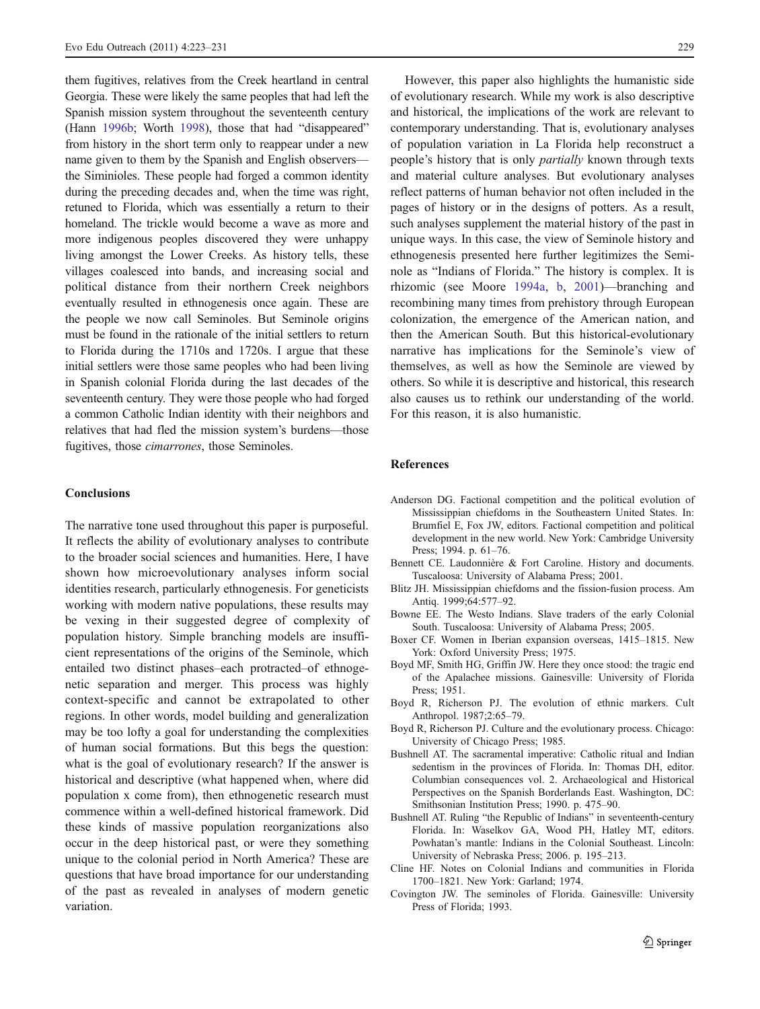<span id="page-6-0"></span>them fugitives, relatives from the Creek heartland in central Georgia. These were likely the same peoples that had left the Spanish mission system throughout the seventeenth century (Hann [1996b;](#page-7-0) Worth [1998\)](#page-8-0), those that had "disappeared" from history in the short term only to reappear under a new name given to them by the Spanish and English observers the Siminioles. These people had forged a common identity during the preceding decades and, when the time was right, retuned to Florida, which was essentially a return to their homeland. The trickle would become a wave as more and more indigenous peoples discovered they were unhappy living amongst the Lower Creeks. As history tells, these villages coalesced into bands, and increasing social and political distance from their northern Creek neighbors eventually resulted in ethnogenesis once again. These are the people we now call Seminoles. But Seminole origins must be found in the rationale of the initial settlers to return to Florida during the 1710s and 1720s. I argue that these initial settlers were those same peoples who had been living in Spanish colonial Florida during the last decades of the seventeenth century. They were those people who had forged a common Catholic Indian identity with their neighbors and relatives that had fled the mission system's burdens—those fugitives, those *cimarrones*, those Seminoles.

### **Conclusions**

The narrative tone used throughout this paper is purposeful. It reflects the ability of evolutionary analyses to contribute to the broader social sciences and humanities. Here, I have shown how microevolutionary analyses inform social identities research, particularly ethnogenesis. For geneticists working with modern native populations, these results may be vexing in their suggested degree of complexity of population history. Simple branching models are insufficient representations of the origins of the Seminole, which entailed two distinct phases–each protracted–of ethnogenetic separation and merger. This process was highly context-specific and cannot be extrapolated to other regions. In other words, model building and generalization may be too lofty a goal for understanding the complexities of human social formations. But this begs the question: what is the goal of evolutionary research? If the answer is historical and descriptive (what happened when, where did population x come from), then ethnogenetic research must commence within a well-defined historical framework. Did these kinds of massive population reorganizations also occur in the deep historical past, or were they something unique to the colonial period in North America? These are questions that have broad importance for our understanding of the past as revealed in analyses of modern genetic variation.

However, this paper also highlights the humanistic side of evolutionary research. While my work is also descriptive and historical, the implications of the work are relevant to contemporary understanding. That is, evolutionary analyses of population variation in La Florida help reconstruct a people's history that is only partially known through texts and material culture analyses. But evolutionary analyses reflect patterns of human behavior not often included in the pages of history or in the designs of potters. As a result, such analyses supplement the material history of the past in unique ways. In this case, the view of Seminole history and ethnogenesis presented here further legitimizes the Seminole as "Indians of Florida." The history is complex. It is rhizomic (see Moore [1994a](#page-8-0), [b](#page-8-0), [2001](#page-8-0))—branching and recombining many times from prehistory through European colonization, the emergence of the American nation, and then the American South. But this historical-evolutionary narrative has implications for the Seminole's view of themselves, as well as how the Seminole are viewed by others. So while it is descriptive and historical, this research also causes us to rethink our understanding of the world. For this reason, it is also humanistic.

## References

- Anderson DG. Factional competition and the political evolution of Mississippian chiefdoms in the Southeastern United States. In: Brumfiel E, Fox JW, editors. Factional competition and political development in the new world. New York: Cambridge University Press; 1994. p. 61–76.
- Bennett CE. Laudonnière & Fort Caroline. History and documents. Tuscaloosa: University of Alabama Press; 2001.
- Blitz JH. Mississippian chiefdoms and the fission-fusion process. Am Antiq. 1999;64:577–92.
- Bowne EE. The Westo Indians. Slave traders of the early Colonial South. Tuscaloosa: University of Alabama Press; 2005.
- Boxer CF. Women in Iberian expansion overseas, 1415–1815. New York: Oxford University Press; 1975.
- Boyd MF, Smith HG, Griffin JW. Here they once stood: the tragic end of the Apalachee missions. Gainesville: University of Florida Press; 1951.
- Boyd R, Richerson PJ. The evolution of ethnic markers. Cult Anthropol. 1987;2:65–79.
- Boyd R, Richerson PJ. Culture and the evolutionary process. Chicago: University of Chicago Press; 1985.
- Bushnell AT. The sacramental imperative: Catholic ritual and Indian sedentism in the provinces of Florida. In: Thomas DH, editor. Columbian consequences vol. 2. Archaeological and Historical Perspectives on the Spanish Borderlands East. Washington, DC: Smithsonian Institution Press; 1990. p. 475–90.
- Bushnell AT. Ruling "the Republic of Indians" in seventeenth-century Florida. In: Waselkov GA, Wood PH, Hatley MT, editors. Powhatan's mantle: Indians in the Colonial Southeast. Lincoln: University of Nebraska Press; 2006. p. 195–213.
- Cline HF. Notes on Colonial Indians and communities in Florida 1700–1821. New York: Garland; 1974.
- Covington JW. The seminoles of Florida. Gainesville: University Press of Florida; 1993.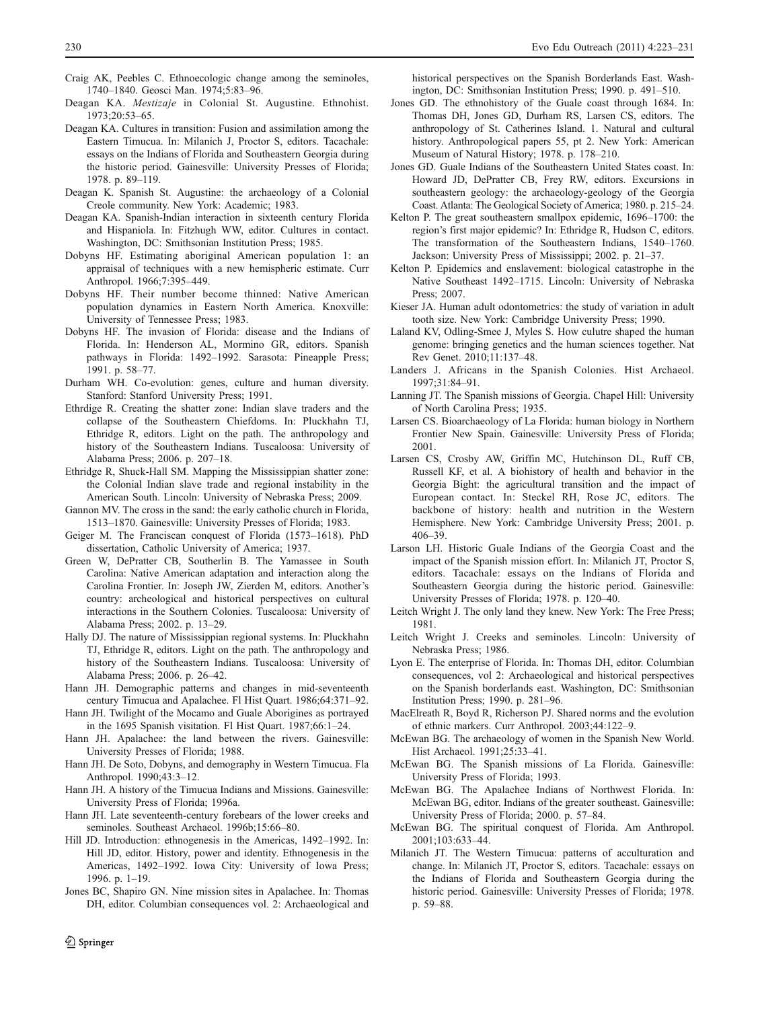- <span id="page-7-0"></span>Craig AK, Peebles C. Ethnoecologic change among the seminoles, 1740–1840. Geosci Man. 1974;5:83–96.
- Deagan KA. Mestizaje in Colonial St. Augustine. Ethnohist. 1973;20:53–65.
- Deagan KA. Cultures in transition: Fusion and assimilation among the Eastern Timucua. In: Milanich J, Proctor S, editors. Tacachale: essays on the Indians of Florida and Southeastern Georgia during the historic period. Gainesville: University Presses of Florida; 1978. p. 89–119.
- Deagan K. Spanish St. Augustine: the archaeology of a Colonial Creole community. New York: Academic; 1983.
- Deagan KA. Spanish-Indian interaction in sixteenth century Florida and Hispaniola. In: Fitzhugh WW, editor. Cultures in contact. Washington, DC: Smithsonian Institution Press; 1985.
- Dobyns HF. Estimating aboriginal American population 1: an appraisal of techniques with a new hemispheric estimate. Curr Anthropol. 1966;7:395–449.
- Dobyns HF. Their number become thinned: Native American population dynamics in Eastern North America. Knoxville: University of Tennessee Press; 1983.
- Dobyns HF. The invasion of Florida: disease and the Indians of Florida. In: Henderson AL, Mormino GR, editors. Spanish pathways in Florida: 1492–1992. Sarasota: Pineapple Press; 1991. p. 58–77.
- Durham WH. Co-evolution: genes, culture and human diversity. Stanford: Stanford University Press; 1991.
- Ethrdige R. Creating the shatter zone: Indian slave traders and the collapse of the Southeastern Chiefdoms. In: Pluckhahn TJ, Ethridge R, editors. Light on the path. The anthropology and history of the Southeastern Indians. Tuscaloosa: University of Alabama Press; 2006. p. 207–18.
- Ethridge R, Shuck-Hall SM. Mapping the Mississippian shatter zone: the Colonial Indian slave trade and regional instability in the American South. Lincoln: University of Nebraska Press; 2009.
- Gannon MV. The cross in the sand: the early catholic church in Florida, 1513–1870. Gainesville: University Presses of Florida; 1983.
- Geiger M. The Franciscan conquest of Florida (1573–1618). PhD dissertation, Catholic University of America; 1937.
- Green W, DePratter CB, Southerlin B. The Yamassee in South Carolina: Native American adaptation and interaction along the Carolina Frontier. In: Joseph JW, Zierden M, editors. Another's country: archeological and historical perspectives on cultural interactions in the Southern Colonies. Tuscaloosa: University of Alabama Press; 2002. p. 13–29.
- Hally DJ. The nature of Mississippian regional systems. In: Pluckhahn TJ, Ethridge R, editors. Light on the path. The anthropology and history of the Southeastern Indians. Tuscaloosa: University of Alabama Press; 2006. p. 26–42.
- Hann JH. Demographic patterns and changes in mid-seventeenth century Timucua and Apalachee. Fl Hist Quart. 1986;64:371–92.
- Hann JH. Twilight of the Mocamo and Guale Aborigines as portrayed in the 1695 Spanish visitation. Fl Hist Quart. 1987;66:1–24.
- Hann JH. Apalachee: the land between the rivers. Gainesville: University Presses of Florida; 1988.
- Hann JH. De Soto, Dobyns, and demography in Western Timucua. Fla Anthropol. 1990;43:3–12.
- Hann JH. A history of the Timucua Indians and Missions. Gainesville: University Press of Florida; 1996a.
- Hann JH. Late seventeenth-century forebears of the lower creeks and seminoles. Southeast Archaeol. 1996b;15:66–80.
- Hill JD. Introduction: ethnogenesis in the Americas, 1492–1992. In: Hill JD, editor. History, power and identity. Ethnogenesis in the Americas, 1492–1992. Iowa City: University of Iowa Press; 1996. p. 1–19.
- Jones BC, Shapiro GN. Nine mission sites in Apalachee. In: Thomas DH, editor. Columbian consequences vol. 2: Archaeological and

 $\textcircled{2}$  Springer

historical perspectives on the Spanish Borderlands East. Washington, DC: Smithsonian Institution Press; 1990. p. 491–510.

- Jones GD. The ethnohistory of the Guale coast through 1684. In: Thomas DH, Jones GD, Durham RS, Larsen CS, editors. The anthropology of St. Catherines Island. 1. Natural and cultural history. Anthropological papers 55, pt 2. New York: American Museum of Natural History; 1978. p. 178–210.
- Jones GD. Guale Indians of the Southeastern United States coast. In: Howard JD, DePratter CB, Frey RW, editors. Excursions in southeastern geology: the archaeology-geology of the Georgia Coast. Atlanta: The Geological Society of America; 1980. p. 215–24.
- Kelton P. The great southeastern smallpox epidemic, 1696–1700: the region's first major epidemic? In: Ethridge R, Hudson C, editors. The transformation of the Southeastern Indians, 1540–1760. Jackson: University Press of Mississippi; 2002. p. 21–37.
- Kelton P. Epidemics and enslavement: biological catastrophe in the Native Southeast 1492–1715. Lincoln: University of Nebraska Press; 2007.
- Kieser JA. Human adult odontometrics: the study of variation in adult tooth size. New York: Cambridge University Press; 1990.
- Laland KV, Odling-Smee J, Myles S. How culutre shaped the human genome: bringing genetics and the human sciences together. Nat Rev Genet. 2010;11:137–48.
- Landers J. Africans in the Spanish Colonies. Hist Archaeol. 1997;31:84–91.
- Lanning JT. The Spanish missions of Georgia. Chapel Hill: University of North Carolina Press; 1935.
- Larsen CS. Bioarchaeology of La Florida: human biology in Northern Frontier New Spain. Gainesville: University Press of Florida; 2001.
- Larsen CS, Crosby AW, Griffin MC, Hutchinson DL, Ruff CB, Russell KF, et al. A biohistory of health and behavior in the Georgia Bight: the agricultural transition and the impact of European contact. In: Steckel RH, Rose JC, editors. The backbone of history: health and nutrition in the Western Hemisphere. New York: Cambridge University Press; 2001. p. 406–39.
- Larson LH. Historic Guale Indians of the Georgia Coast and the impact of the Spanish mission effort. In: Milanich JT, Proctor S, editors. Tacachale: essays on the Indians of Florida and Southeastern Georgia during the historic period. Gainesville: University Presses of Florida; 1978. p. 120–40.
- Leitch Wright J. The only land they knew. New York: The Free Press; 1981.
- Leitch Wright J. Creeks and seminoles. Lincoln: University of Nebraska Press; 1986.
- Lyon E. The enterprise of Florida. In: Thomas DH, editor. Columbian consequences, vol 2: Archaeological and historical perspectives on the Spanish borderlands east. Washington, DC: Smithsonian Institution Press; 1990. p. 281–96.
- MacElreath R, Boyd R, Richerson PJ. Shared norms and the evolution of ethnic markers. Curr Anthropol. 2003;44:122–9.
- McEwan BG. The archaeology of women in the Spanish New World. Hist Archaeol. 1991;25:33–41.
- McEwan BG. The Spanish missions of La Florida. Gainesville: University Press of Florida; 1993.
- McEwan BG. The Apalachee Indians of Northwest Florida. In: McEwan BG, editor. Indians of the greater southeast. Gainesville: University Press of Florida; 2000. p. 57–84.
- McEwan BG. The spiritual conquest of Florida. Am Anthropol. 2001;103:633–44.
- Milanich JT. The Western Timucua: patterns of acculturation and change. In: Milanich JT, Proctor S, editors. Tacachale: essays on the Indians of Florida and Southeastern Georgia during the historic period. Gainesville: University Presses of Florida; 1978. p. 59–88.